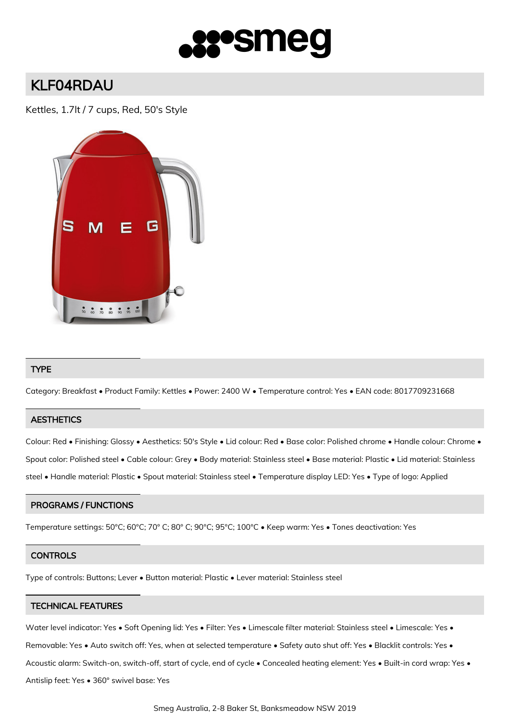

# KLF04RDAU

Kettles, 1.7lt / 7 cups, Red, 50's Style



## TYPE

Category: Breakfast • Product Family: Kettles • Power: 2400 W • Temperature control: Yes • EAN code: 8017709231668

## **AESTHETICS**

Colour: Red • Finishing: Glossy • Aesthetics: 50's Style • Lid colour: Red • Base color: Polished chrome • Handle colour: Chrome • Spout color: Polished steel • Cable colour: Grey • Body material: Stainless steel • Base material: Plastic • Lid material: Stainless steel • Handle material: Plastic • Spout material: Stainless steel • Temperature display LED: Yes • Type of logo: Applied

## PROGRAMS / FUNCTIONS

Temperature settings: 50°C; 60°C; 70° C; 80° C; 90°C; 95°C; 100°C • Keep warm: Yes • Tones deactivation: Yes

#### **CONTROLS**

Type of controls: Buttons; Lever • Button material: Plastic • Lever material: Stainless steel

#### TECHNICAL FEATURES

Water level indicator: Yes • Soft Opening lid: Yes • Filter: Yes • Limescale filter material: Stainless steel • Limescale: Yes • Removable: Yes • Auto switch off: Yes, when at selected temperature • Safety auto shut off: Yes • Blacklit controls: Yes • Acoustic alarm: Switch-on, switch-off, start of cycle, end of cycle • Concealed heating element: Yes • Built-in cord wrap: Yes • Antislip feet: Yes • 360° swivel base: Yes